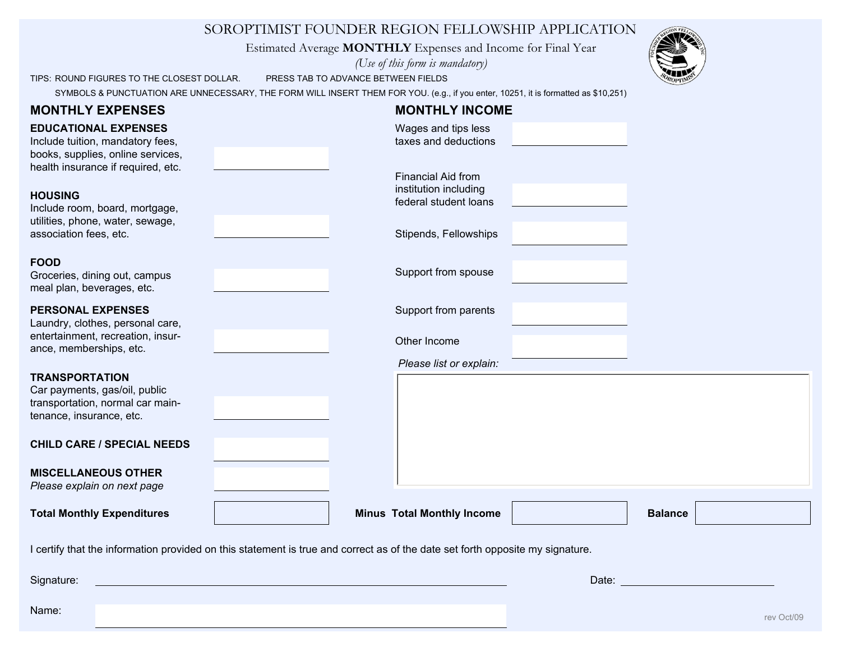## SOROPTIMIST FOUNDER REGION FELLOWSHIP APPLICATION

Estimated Average **MONTHLY** Expenses and Income for Final Year

*(Use of this form is mandatory)*

TIPS: ROUND FIGURES TO THE CLOSEST DOLLAR. PRESS TAB TO ADVANCE BETWEEN FIELDS

SYMBOLS & PUNCTUATION ARE UNNECESSARY, THE FORM WILL INSERT THEM FOR YOU. (e.g., if you enter, 10251, it is formatted as \$10,251)

| <b>MONTHLY EXPENSES</b><br><b>EDUCATIONAL EXPENSES</b><br>Include tuition, mandatory fees,<br>books, supplies, online services,<br>health insurance if required, etc. |  | <b>MONTHLY INCOME</b><br>Wages and tips less<br>taxes and deductions                          |  |                                                                                                                                                                                                                                |  |            |
|-----------------------------------------------------------------------------------------------------------------------------------------------------------------------|--|-----------------------------------------------------------------------------------------------|--|--------------------------------------------------------------------------------------------------------------------------------------------------------------------------------------------------------------------------------|--|------------|
| <b>HOUSING</b><br>Include room, board, mortgage,<br>utilities, phone, water, sewage,<br>association fees, etc.                                                        |  | Financial Aid from<br>institution including<br>federal student loans<br>Stipends, Fellowships |  |                                                                                                                                                                                                                                |  |            |
| <b>FOOD</b><br>Groceries, dining out, campus<br>meal plan, beverages, etc.                                                                                            |  | Support from spouse                                                                           |  |                                                                                                                                                                                                                                |  |            |
| <b>PERSONAL EXPENSES</b><br>Laundry, clothes, personal care,<br>entertainment, recreation, insur-<br>ance, memberships, etc.                                          |  | Support from parents<br>Other Income                                                          |  |                                                                                                                                                                                                                                |  |            |
| <b>TRANSPORTATION</b><br>Car payments, gas/oil, public<br>transportation, normal car main-<br>tenance, insurance, etc.                                                |  | Please list or explain:                                                                       |  |                                                                                                                                                                                                                                |  |            |
| <b>CHILD CARE / SPECIAL NEEDS</b><br><b>MISCELLANEOUS OTHER</b>                                                                                                       |  |                                                                                               |  |                                                                                                                                                                                                                                |  |            |
| Please explain on next page<br><b>Total Monthly Expenditures</b>                                                                                                      |  | <b>Minus Total Monthly Income</b>                                                             |  | <b>Balance</b>                                                                                                                                                                                                                 |  |            |
| I certify that the information provided on this statement is true and correct as of the date set forth opposite my signature.                                         |  |                                                                                               |  |                                                                                                                                                                                                                                |  |            |
| Signature:                                                                                                                                                            |  |                                                                                               |  | Date: The Contract of the Contract of the Contract of the Contract of the Contract of the Contract of the Contract of the Contract of the Contract of the Contract of the Contract of the Contract of the Contract of the Cont |  |            |
| Name:                                                                                                                                                                 |  |                                                                                               |  |                                                                                                                                                                                                                                |  | rev Oct/09 |